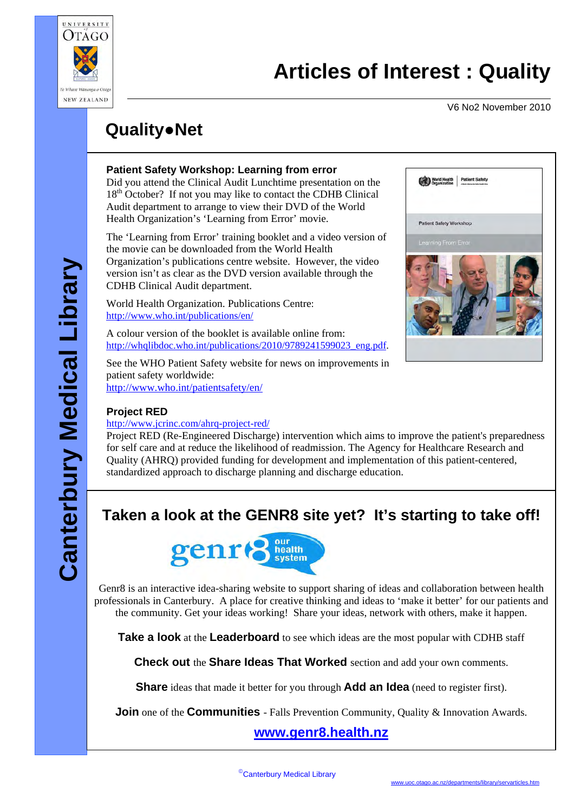

V6 No2 November 2010

# **Quality**●**Net**

#### **Patient Safety Workshop: Learning from error**

Did you attend the Clinical Audit Lunchtime presentation on the 18<sup>th</sup> October? If not you may like to contact the CDHB Clinical Audit department to arrange to view their DVD of the World Health Organization's 'Learning from Error' movie.

The 'Learning from Error' training booklet and a video version of the movie can be downloaded from the World Health Organization's publications centre website. However, the video version isn't as clear as the DVD version available through the CDHB Clinical Audit department.

World Health Organization. Publications Centre: <http://www.who.int/publications/en/>

A colour version of the booklet is available online from: [http://whqlibdoc.who.int/publications/2010/9789241599023\\_eng.pdf.](http://whqlibdoc.who.int/publications/2010/9789241599023_eng.pdf)

See the WHO Patient Safety website for news on improvements in patient safety worldwide: <http://www.who.int/patientsafety/en/>



#### **Project RED**

#### <http://www.jcrinc.com/ahrq-project-red/>

Project RED (Re-Engineered Discharge) intervention which aims to improve the patient's preparedness for self care and at reduce the likelihood of readmission. The Agency for Healthcare Research and Quality (AHRQ) provided funding for development and implementation of this patient-centered, standardized approach to discharge planning and discharge education.

## **Taken a look at the GENR8 site yet? It's starting to take off!**



Genr8 is an interactive idea-sharing website to support sharing of ideas and collaboration between health professionals in Canterbury. A place for creative thinking and ideas to 'make it better' for our patients and the community. Get your ideas working! Share your ideas, network with others, make it happen.

**Take a look** at the **Leaderboard** to see which ideas are the most popular with CDHB staff

**Check out** the **Share Ideas That Worked** section and add your own comments.

**Share** ideas that made it better for you through **Add an Idea** (need to register first).

**Join** one of the **Communities** - Falls Prevention Community, Quality & Innovation Awards.

## **www.genr8.health.nz**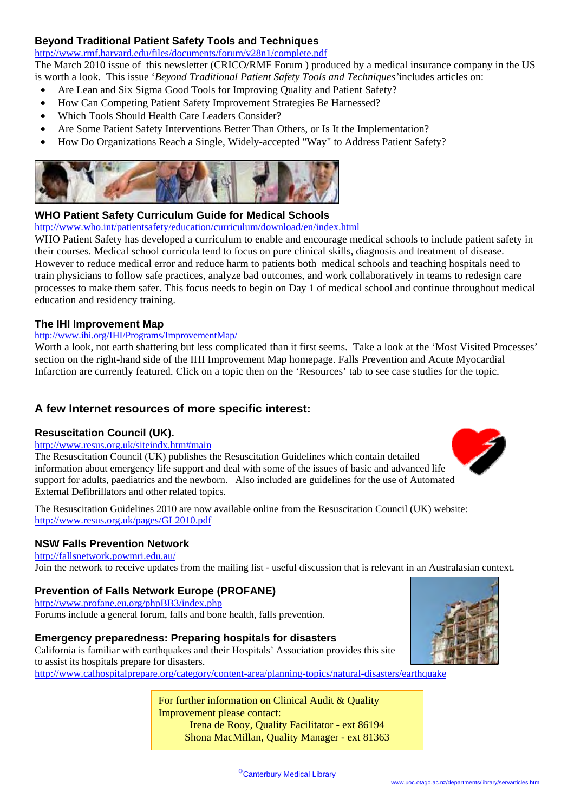#### **Beyond Traditional Patient Safety Tools and Techniques**

<http://www.rmf.harvard.edu/files/documents/forum/v28n1/complete.pdf>

The March 2010 issue of this newsletter (CRICO/RMF Forum ) produced by a medical insurance company in the US is worth a look. This issue '*Beyond Traditional Patient Safety Tools and Techniques'*includes articles on:

- Are Lean and Six Sigma Good Tools for Improving Quality and Patient Safety?
- How Can Competing Patient Safety Improvement Strategies Be Harnessed?
- Which Tools Should Health Care Leaders Consider?
- Are Some Patient Safety Interventions Better Than Others, or Is It the Implementation?
- How Do Organizations Reach a Single, Widely-accepted "Way" to Address Patient Safety?



#### **WHO Patient Safety Curriculum Guide for Medical Schools**

<http://www.who.int/patientsafety/education/curriculum/download/en/index.html>

WHO Patient Safety has developed a curriculum to enable and encourage medical schools to include patient safety in their courses. Medical school curricula tend to focus on pure clinical skills, diagnosis and treatment of disease. However to reduce medical error and reduce harm to patients both medical schools and teaching hospitals need to train physicians to follow safe practices, analyze bad outcomes, and work collaboratively in teams to redesign care processes to make them safer. This focus needs to begin on Day 1 of medical school and continue throughout medical education and residency training.

#### **The IHI Improvement Map**

#### <http://www.ihi.org/IHI/Programs/ImprovementMap/>

Worth a look, not earth shattering but less complicated than it first seems. Take a look at the 'Most Visited Processes' section on the right-hand side of the IHI Improvement Map homepage. Falls Prevention and Acute Myocardial Infarction are currently featured. Click on a topic then on the 'Resources' tab to see case studies for the topic.

#### **A few Internet resources of more specific interest:**

#### **Resuscitation Council (UK).**

#### <http://www.resus.org.uk/siteindx.htm#main>

The Resuscitation Council (UK) publishes the Resuscitation Guidelines which contain detailed information about emergency life support and deal with some of the issues of basic and advanced life support for adults, paediatrics and the newborn. Also included are guidelines for the use of Automated External Defibrillators and other related topics.



The Resuscitation Guidelines 2010 are now available online from the Resuscitation Council (UK) website: <http://www.resus.org.uk/pages/GL2010.pdf>

#### **NSW Falls Prevention Network**

<http://fallsnetwork.powmri.edu.au/> Join the network to receive updates from the mailing list - useful discussion that is relevant [in an Australasian conte](http://www.calhospitalprepare.org/document/earthquake-preparedness)xt.

#### **Prevention of Falls Network Europe (PROFANE)**

<http://www.profane.eu.org/phpBB3/index.php> Forums include a general forum, falls and bone health, falls prevention.

#### **Emergency preparedness: Preparing hospitals for disasters**

California is familiar with earthquakes and their Hospitals' Association provides this site to assist its hospitals prepare for disasters. <http://www.calhospitalprepare.org/category/content-area/planning-topics/natural-disasters/earthquake>

> For further information on Clinical Audit & Quality Improvement please contact: Irena de Rooy, Quality Facilitator - ext 86194 Shona MacMillan, Quality Manager - ext 81363

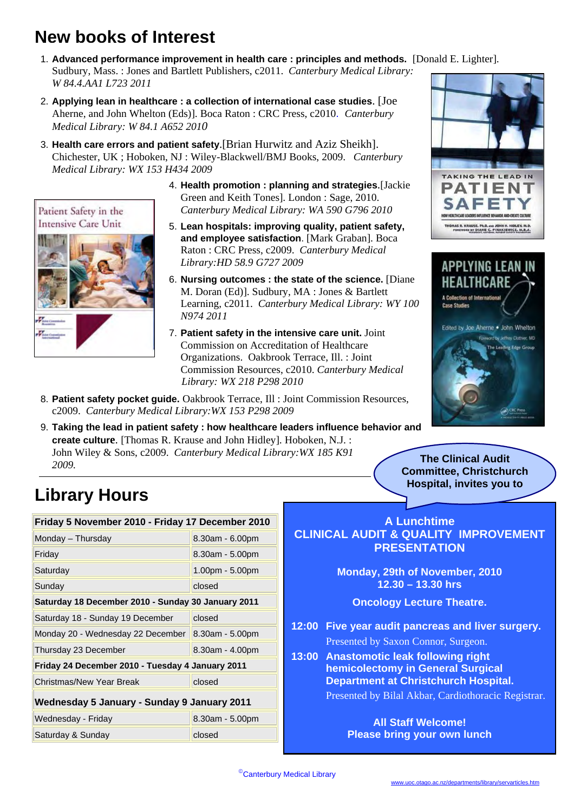## **New books of Interest**

- 1. **Advanced performance improvement in health care : principles and methods.** [Donald E. Lighter]. Sudbury, Mass. : Jones and Bartlett Publishers, c2011. *Canterbury Medical Library: W 84.4.AA1 L723 2011*
- 2. **Applying lean in healthcare : a collection of international case studies**. [Joe Aherne, and John Whelton (Eds)]. Boca Raton : CRC Press, c2010. *Canterbury Medical Library: W 84.1 A652 2010*
- 3. **Health care errors and patient safety**.[Brian Hurwitz and Aziz Sheikh]. Chichester, UK ; Hoboken, NJ : Wiley-Blackwell/BMJ Books, 2009. *Canterbury Medical Library: WX 153 H434 2009*



- 5. **Lean hospitals: improving quality, patient safety, and employee satisfaction**. [Mark Graban]. Boca Raton : CRC Press, c2009. *Canterbury Medical Library:HD 58.9 G727 2009*
- 6. **Nursing outcomes : the state of the science.** [Diane M. Doran (Ed)]. Sudbury, MA : Jones & Bartlett Learning, c2011. *Canterbury Medical Library: WY 100 N974 2011*
- 7. **Patient safety in the intensive care unit.** Joint Commission on Accreditation of Healthcare Organizations. Oakbrook Terrace, Ill. : Joint Commission Resources, c2010. *Canterbury Medical*  *Library: WX 218 P298 2010*
- 8. **Patient safety pocket guide.** Oakbrook Terrace, Ill : Joint Commission Resources, c2009. *Canterbury Medical Library:WX 153 P298 2009*
- 9. **Taking the lead in patient safety : how healthcare leaders influence behavior and create culture**. [Thomas R. Krause and John Hidley]. Hoboken, N.J. : John Wiley & Sons, c2009. *Canterbury Medical Library:WX 185 K91 2009.*

# **TAKING THE LEAD IN**



**The Clinical Audit Committee, Christchurch Hospital, invites you to**

# **Library Hours**

Patient Safety in the **Intensive Care Unit** 

|                                                    | Friday 5 November 2010 - Friday 17 December 2010 |                   |
|----------------------------------------------------|--------------------------------------------------|-------------------|
|                                                    | Monday - Thursday                                | 8.30am - 6.00pm   |
|                                                    | Friday                                           | 8.30am - 5.00pm   |
|                                                    | Saturday                                         | $1.00pm - 5.00pm$ |
|                                                    | Sunday                                           | closed            |
| Saturday 18 December 2010 - Sunday 30 January 2011 |                                                  |                   |
|                                                    | Saturday 18 - Sunday 19 December                 | closed            |
|                                                    | Monday 20 - Wednesday 22 December                | $8.30am - 5.00pm$ |
|                                                    | Thursday 23 December                             | 8.30am - 4.00pm   |
| Friday 24 December 2010 - Tuesday 4 January 2011   |                                                  |                   |
|                                                    | Christmas/New Year Break                         | closed            |
|                                                    | Wednesday 5 January - Sunday 9 January 2011      |                   |
|                                                    | Wednesday - Friday                               | $8.30am - 5.00pm$ |
|                                                    | Saturday & Sunday                                | closed            |

**A Lunchtime CLINICAL AUDIT & QUALITY IMPROVEMENT PRESENTATION**

> **Monday, 29th of November, 2010 12.30 – 13.30 hrs**

> > **Oncology Lecture Theatre.**

- **12:00 Five year audit pancreas and liver surgery.**  Presented by Saxon Connor, Surgeon.
- **13:00 Anastomotic leak following right hemicolectomy in General Surgical Department at Christchurch Hospital.**

Presented by Bilal Akbar, Cardiothoracic Registrar.

#### **All Staff Welcome! Please bring your own lunch**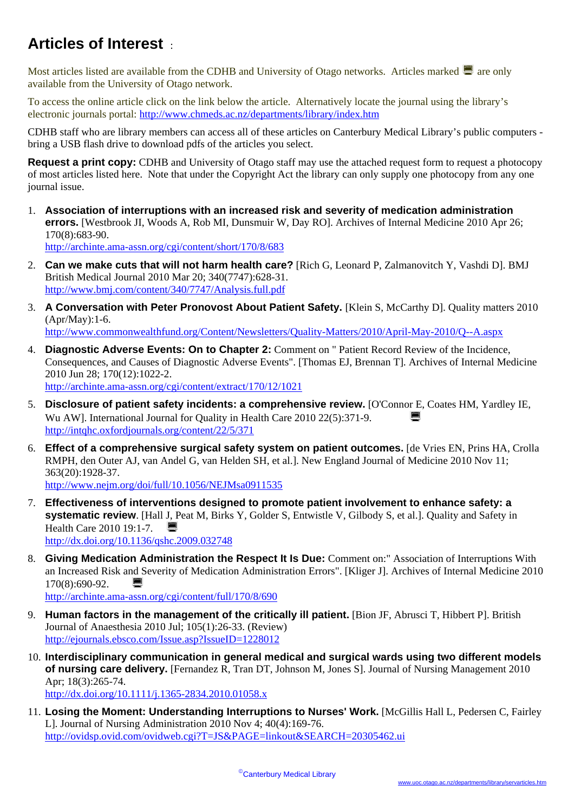## **Articles of Interest** :

Most articles listed are available from the CDHB and University of Otago networks. Articles marked  $\blacksquare$  are only available from the University of Otago network.

To access the online article click on the link below the article. Alternatively locate the journal using the library's electronic journals portal: <http://www.chmeds.ac.nz/departments/library/index.htm>

CDHB staff who are library members can access all of these articles on Canterbury Medical Library's public computers bring a USB flash drive to download pdfs of the articles you select.

**Request a print copy:** CDHB and University of Otago staff may use the attached request form to request a photocopy of most articles listed here. Note that under the Copyright Act the library can only supply one photocopy from any one journal issue.

1. **Association of interruptions with an increased risk and severity of medication administration errors.** [Westbrook JI, Woods A, Rob MI, Dunsmuir W, Day RO]. Archives of Internal Medicine 2010 Apr 26; 170(8):683-90.

<http://archinte.ama-assn.org/cgi/content/short/170/8/683>

- 2. **Can we make cuts that will not harm health care?** [Rich G, Leonard P, Zalmanovitch Y, Vashdi D]. BMJ British Medical Journal 2010 Mar 20; 340(7747):628-31. <http://www.bmj.com/content/340/7747/Analysis.full.pdf>
- 3. **A Conversation with Peter Pronovost About Patient Safety.** [Klein S, McCarthy D]. Quality matters 2010 (Apr/May):1-6. <http://www.commonwealthfund.org/Content/Newsletters/Quality-Matters/2010/April-May-2010/Q--A.aspx>
- 4. **Diagnostic Adverse Events: On to Chapter 2:** Comment on " Patient Record Review of the Incidence, Consequences, and Causes of Diagnostic Adverse Events". [Thomas EJ, Brennan T]. Archives of Internal Medicine 2010 Jun 28; 170(12):1022-2. <http://archinte.ama-assn.org/cgi/content/extract/170/12/1021>
- 5. **Disclosure of patient safety incidents: a comprehensive review.** [O'Connor E, Coates HM, Yardley IE, Wu AW]. International Journal for Quality in Health Care 2010 22(5):371-9. <http://intqhc.oxfordjournals.org/content/22/5/371>
- 6. **Effect of a comprehensive surgical safety system on patient outcomes.** [de Vries EN, Prins HA, Crolla RMPH, den Outer AJ, van Andel G, van Helden SH, et al.]. New England Journal of Medicine 2010 Nov 11; 363(20):1928-37. <http://www.nejm.org/doi/full/10.1056/NEJMsa0911535>
- 7. **Effectiveness of interventions designed to promote patient involvement to enhance safety: a systematic review**. [Hall J, Peat M, Birks Y, Golder S, Entwistle V, Gilbody S, et al.]. Quality and Safety in Health Care 2010 19:1-7. <http://dx.doi.org/10.1136/qshc.2009.032748>
- 8. **Giving Medication Administration the Respect It Is Due:** Comment on:" Association of Interruptions With an Increased Risk and Severity of Medication Administration Errors". [Kliger J]. Archives of Internal Medicine 2010  $170(8):690-92.$

<http://archinte.ama-assn.org/cgi/content/full/170/8/690>

- 9. **Human factors in the management of the critically ill patient.** [Bion JF, Abrusci T, Hibbert P]. British Journal of Anaesthesia 2010 Jul; 105(1):26-33. (Review) <http://ejournals.ebsco.com/Issue.asp?IssueID=1228012>
- 10. **Interdisciplinary communication in general medical and surgical wards using two different models of nursing care delivery.** [Fernandez R, Tran DT, Johnson M, Jones S]. Journal of Nursing Management 2010 Apr; 18(3):265-74. <http://dx.doi.org/10.1111/j.1365-2834.2010.01058.x>
- 11. **Losing the Moment: Understanding Interruptions to Nurses' Work.** [McGillis Hall L, Pedersen C, Fairley L]. Journal of Nursing Administration 2010 Nov 4; 40(4):169-76. <http://ovidsp.ovid.com/ovidweb.cgi?T=JS&PAGE=linkout&SEARCH=20305462.ui>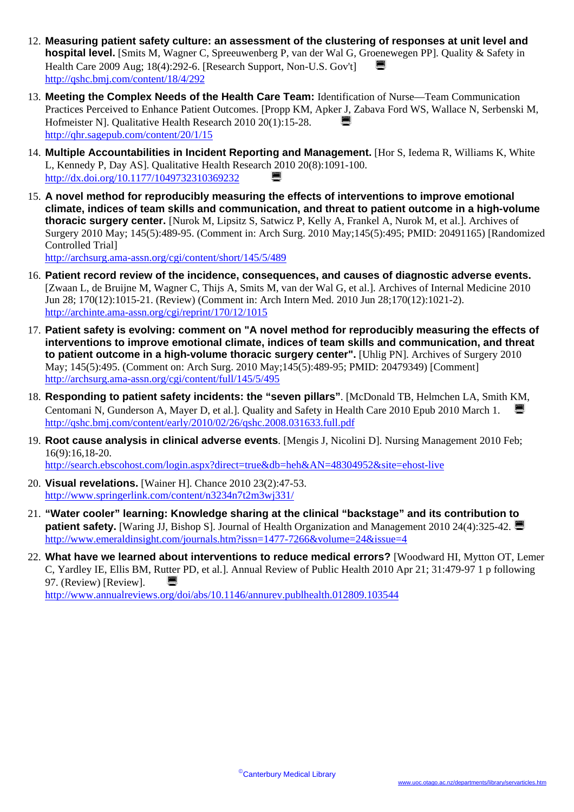- 12. **Measuring patient safety culture: an assessment of the clustering of responses at unit level and hospital level.** [Smits M, Wagner C, Spreeuwenberg P, van der Wal G, Groenewegen PP]. Quality & Safety in Health Care 2009 Aug; 18(4):292-6. [Research Support, Non-U.S. Gov't] <http://qshc.bmj.com/content/18/4/292>
- 13. **Meeting the Complex Needs of the Health Care Team:** Identification of Nurse—Team Communication Practices Perceived to Enhance Patient Outcomes. [Propp KM, Apker J, Zabava Ford WS, Wallace N, Serbenski M, Hofmeister N]. Qualitative Health Research 2010 20(1):15-28. <http://qhr.sagepub.com/content/20/1/15>
- 14. **Multiple Accountabilities in Incident Reporting and Management.** [Hor S, Iedema R, Williams K, White L, Kennedy P, Day AS]. Qualitative Health Research 2010 20(8):1091-100. <http://dx.doi.org/10.1177/1049732310369232> ¡
- 15. **A novel method for reproducibly measuring the effects of interventions to improve emotional climate, indices of team skills and communication, and threat to patient outcome in a high-volume thoracic surgery center.** [Nurok M, Lipsitz S, Satwicz P, Kelly A, Frankel A, Nurok M, et al.]. Archives of Surgery 2010 May; 145(5):489-95. (Comment in: Arch Surg. 2010 May;145(5):495; PMID: 20491165) [Randomized Controlled Trial] <http://archsurg.ama-assn.org/cgi/content/short/145/5/489>

16. **Patient record review of the incidence, consequences, and causes of diagnostic adverse events.**  [Zwaan L, de Bruijne M, Wagner C, Thijs A, Smits M, van der Wal G, et al.]. Archives of Internal Medicine 2010 Jun 28; 170(12):1015-21. (Review) (Comment in: Arch Intern Med. 2010 Jun 28;170(12):1021-2). <http://archinte.ama-assn.org/cgi/reprint/170/12/1015>

- 17. **Patient safety is evolving: comment on "A novel method for reproducibly measuring the effects of interventions to improve emotional climate, indices of team skills and communication, and threat to patient outcome in a high-volume thoracic surgery center".** [Uhlig PN]. Archives of Surgery 2010 May; 145(5):495. (Comment on: Arch Surg. 2010 May;145(5):489-95; PMID: 20479349) [Comment] <http://archsurg.ama-assn.org/cgi/content/full/145/5/495>
- 18. **Responding to patient safety incidents: the "seven pillars"**. [McDonald TB, Helmchen LA, Smith KM, Centomani N, Gunderson A, Mayer D, et al. ]. Quality and Safety in Health Care 2010 Epub 2010 March 1. <http://qshc.bmj.com/content/early/2010/02/26/qshc.2008.031633.full.pdf>
- 19. **Root cause analysis in clinical adverse events**. [Mengis J, Nicolini D]. Nursing Management 2010 Feb; 16(9):16,18-20.

<http://search.ebscohost.com/login.aspx?direct=true&db=heh&AN=48304952&site=ehost-live>

- 20. **Visual revelations.** [Wainer H]. Chance 2010 23(2):47-53. <http://www.springerlink.com/content/n3234n7t2m3wj331/>
- 21. **"Water cooler" learning: Knowledge sharing at the clinical "backstage" and its contribution to patient safety.** [Waring JJ, Bishop S]. Journal of Health Organization and Management 2010 24(4):325-42. <http://www.emeraldinsight.com/journals.htm?issn=1477-7266&volume=24&issue=4>
- 22. **What have we learned about interventions to reduce medical errors?** [Woodward HI, Mytton OT, Lemer C, Yardley IE, Ellis BM, Rutter PD, et al.]. Annual Review of Public Health 2010 Apr 21; 31:479-97 1 p following 97. (Review) [Review].  $\Box$ <http://www.annualreviews.org/doi/abs/10.1146/annurev.publhealth.012809.103544>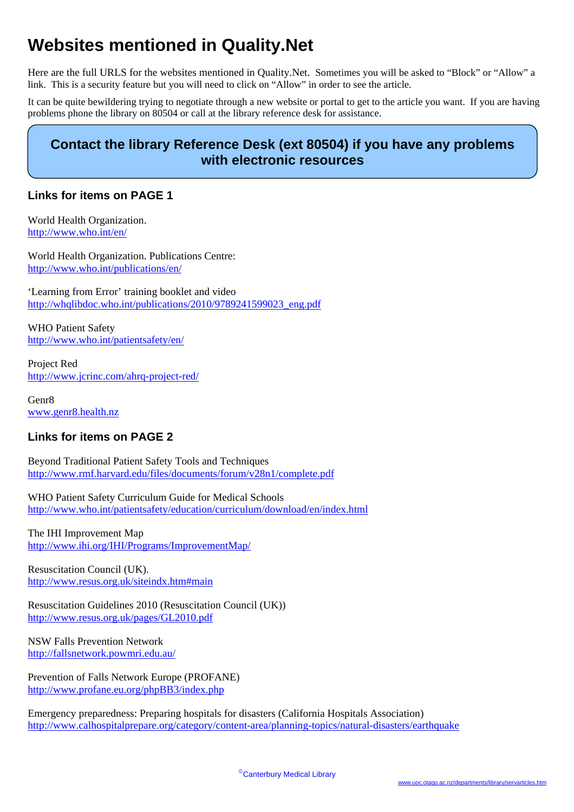# **Websites mentioned in Quality.Net**

Here are the full URLS for the websites mentioned in Quality.Net. Sometimes you will be asked to "Block" or "Allow" a link. This is a security feature but you will need to click on "Allow" in order to see the article.

It can be quite bewildering trying to negotiate through a new website or portal to get to the article you want. If you are having problems phone the library on 80504 or call at the library reference desk for assistance.

## **Contact the library Reference Desk (ext 80504) if you have any problems with electronic resources**

### **Links for items on PAGE 1**

World Health Organization. <http://www.who.int/en/>

World Health Organization. Publications Centre: <http://www.who.int/publications/en/>

'Learning from Error' training booklet and video [http://whqlibdoc.who.int/publications/2010/9789241599023\\_eng.pdf](http://whqlibdoc.who.int/publications/2010/9789241599023_eng.pdf)

WHO Patient Safety <http://www.who.int/patientsafety/en/>

Project Red <http://www.jcrinc.com/ahrq-project-red/>

Genr8 [www.genr8.health.nz](http://www.genr8.health.nz/)

#### **Links for items on PAGE 2**

Beyond Traditional Patient Safety Tools and Techniques <http://www.rmf.harvard.edu/files/documents/forum/v28n1/complete.pdf>

WHO Patient Safety Curriculum Guide for Medical Schools <http://www.who.int/patientsafety/education/curriculum/download/en/index.html>

The IHI Improvement Map <http://www.ihi.org/IHI/Programs/ImprovementMap/>

Resuscitation Council (UK). <http://www.resus.org.uk/siteindx.htm#main>

Resuscitation Guidelines 2010 (Resuscitation Council (UK)) <http://www.resus.org.uk/pages/GL2010.pdf>

NSW Falls Prevention Network <http://fallsnetwork.powmri.edu.au/>

Prevention of Falls Network Europe (PROFANE) <http://www.profane.eu.org/phpBB3/index.php>

Emergency preparedness: Preparing hospitals for disasters (California Hospitals Association) <http://www.calhospitalprepare.org/category/content-area/planning-topics/natural-disasters/earthquake>